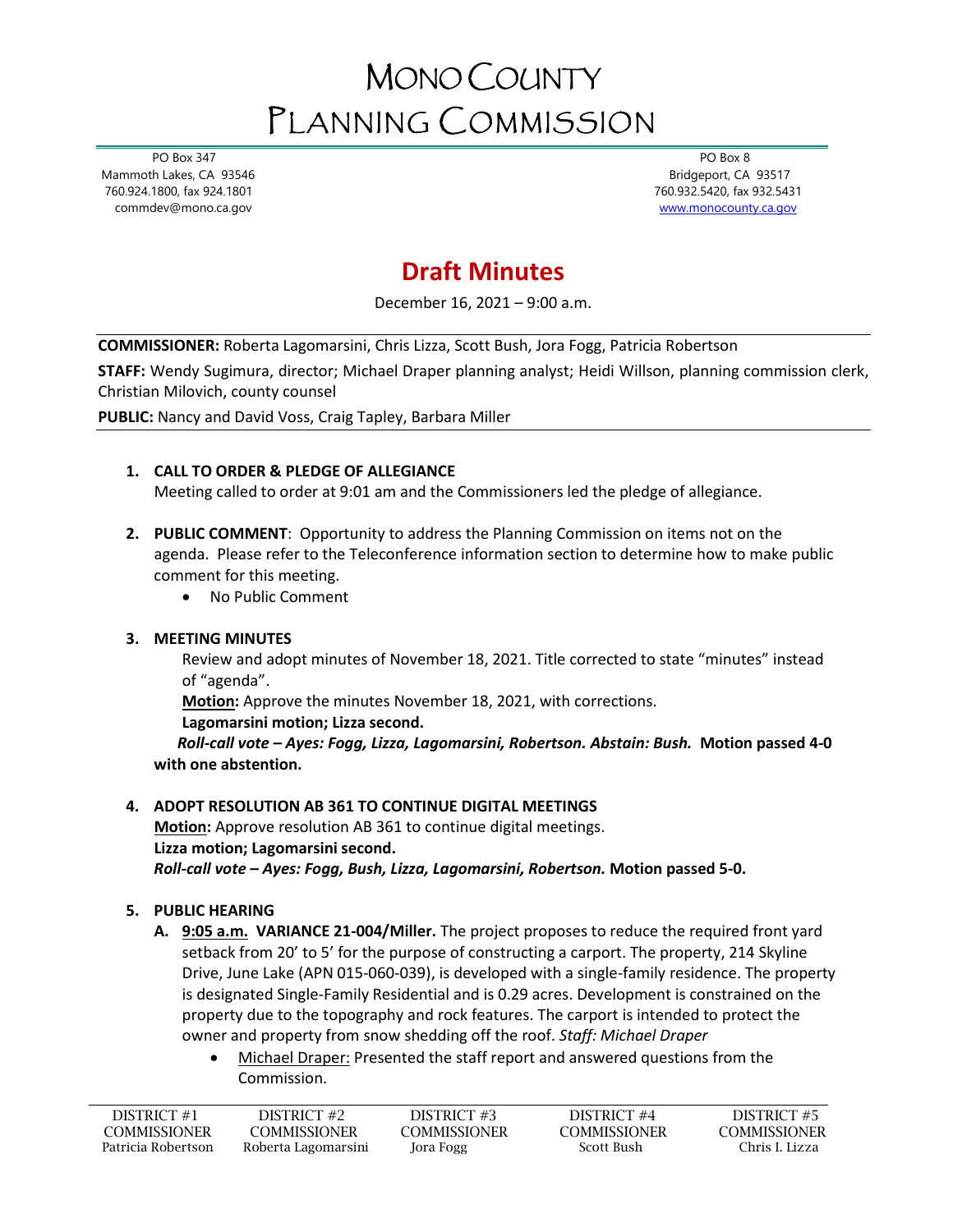# MONO COUNTY PLANNING COMMISSION

 PO Box 347 Mammoth Lakes, CA 93546 760.924.1800, fax 924.1801 commdev@mono.ca.gov

 PO Box 8 Bridgeport, CA 93517 760.932.5420, fax 932.5431 [www.monocounty.ca.gov](http://www.monocounty.ca.gov/) 

# **Draft Minutes**

December 16, 2021 – 9:00 a.m.

**COMMISSIONER:** Roberta Lagomarsini, Chris Lizza, Scott Bush, Jora Fogg, Patricia Robertson

**STAFF:** Wendy Sugimura, director; Michael Draper planning analyst; Heidi Willson, planning commission clerk, Christian Milovich, county counsel

**PUBLIC:** Nancy and David Voss, Craig Tapley, Barbara Miller

#### **1. CALL TO ORDER & PLEDGE OF ALLEGIANCE**

Meeting called to order at 9:01 am and the Commissioners led the pledge of allegiance.

- **2. PUBLIC COMMENT**: Opportunity to address the Planning Commission on items not on the agenda. Please refer to the Teleconference information section to determine how to make public comment for this meeting.
	- No Public Comment

#### **3. MEETING MINUTES**

Review and adopt minutes of November 18, 2021. Title corrected to state "minutes" instead of "agenda".

**Motion:** Approve the minutes November 18, 2021, with corrections.

#### **Lagomarsini motion; Lizza second.**

 *Roll-call vote – Ayes: Fogg, Lizza, Lagomarsini, Robertson. Abstain: Bush.* **Motion passed 4-0 with one abstention.**

#### **4. ADOPT RESOLUTION AB 361 TO CONTINUE DIGITAL MEETINGS**

**Motion:** Approve resolution AB 361 to continue digital meetings. **Lizza motion; Lagomarsini second.** *Roll-call vote – Ayes: Fogg, Bush, Lizza, Lagomarsini, Robertson.* **Motion passed 5-0.**

#### **5. PUBLIC HEARING**

- **A. 9:05 a.m. VARIANCE 21-004/Miller.** The project proposes to reduce the required front yard setback from 20' to 5' for the purpose of constructing a carport. The property, 214 Skyline Drive, June Lake (APN 015-060-039), is developed with a single-family residence. The property is designated Single-Family Residential and is 0.29 acres. Development is constrained on the property due to the topography and rock features. The carport is intended to protect the owner and property from snow shedding off the roof. *Staff: Michael Draper*
	- Michael Draper: Presented the staff report and answered questions from the Commission.

| DISTRICT #1        | DISTRICT #2         | DISTRICT #3  | DISTRICT #4         | DISTRICT #5         |
|--------------------|---------------------|--------------|---------------------|---------------------|
| COMMISSIONER       | COMMISSIONER-       | COMMISSIONER | <b>COMMISSIONER</b> | <b>COMMISSIONER</b> |
| Patricia Robertson | Roberta Lagomarsini | Jora Fogg    | Scott Bush          | Chris I. Lizza      |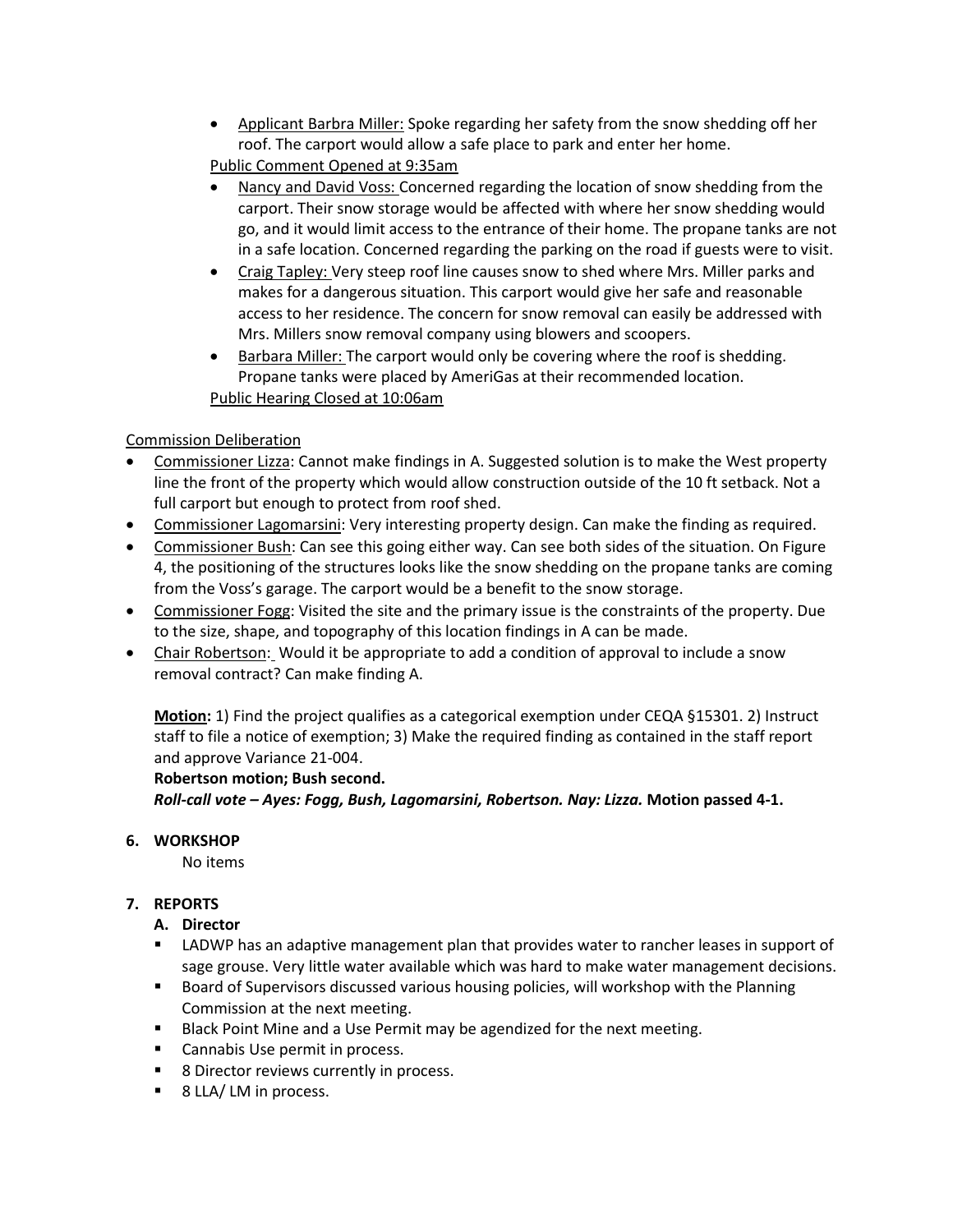- Applicant Barbra Miller: Spoke regarding her safety from the snow shedding off her roof. The carport would allow a safe place to park and enter her home. Public Comment Opened at 9:35am
- Nancy and David Voss: Concerned regarding the location of snow shedding from the carport. Their snow storage would be affected with where her snow shedding would go, and it would limit access to the entrance of their home. The propane tanks are not in a safe location. Concerned regarding the parking on the road if guests were to visit.
- Craig Tapley: Very steep roof line causes snow to shed where Mrs. Miller parks and makes for a dangerous situation. This carport would give her safe and reasonable access to her residence. The concern for snow removal can easily be addressed with Mrs. Millers snow removal company using blowers and scoopers.
- Barbara Miller: The carport would only be covering where the roof is shedding. Propane tanks were placed by AmeriGas at their recommended location. Public Hearing Closed at 10:06am

#### Commission Deliberation

- Commissioner Lizza: Cannot make findings in A. Suggested solution is to make the West property line the front of the property which would allow construction outside of the 10 ft setback. Not a full carport but enough to protect from roof shed.
- Commissioner Lagomarsini: Very interesting property design. Can make the finding as required.
- Commissioner Bush: Can see this going either way. Can see both sides of the situation. On Figure 4, the positioning of the structures looks like the snow shedding on the propane tanks are coming from the Voss's garage. The carport would be a benefit to the snow storage.
- Commissioner Fogg: Visited the site and the primary issue is the constraints of the property. Due to the size, shape, and topography of this location findings in A can be made.
- Chair Robertson: Would it be appropriate to add a condition of approval to include a snow removal contract? Can make finding A.

**Motion:** 1) Find the project qualifies as a categorical exemption under CEQA §15301. 2) Instruct staff to file a notice of exemption; 3) Make the required finding as contained in the staff report and approve Variance 21-004.

#### **Robertson motion; Bush second.**

*Roll-call vote – Ayes: Fogg, Bush, Lagomarsini, Robertson. Nay: Lizza.* **Motion passed 4-1.**

# **6. WORKSHOP**

No items

# **7. REPORTS**

# **A. Director**

- LADWP has an adaptive management plan that provides water to rancher leases in support of sage grouse. Very little water available which was hard to make water management decisions.
- **Board of Supervisors discussed various housing policies, will workshop with the Planning** Commission at the next meeting.
- Black Point Mine and a Use Permit may be agendized for the next meeting.
- **EXEC** Cannabis Use permit in process.
- 8 Director reviews currently in process.
- 8 LLA/ LM in process.